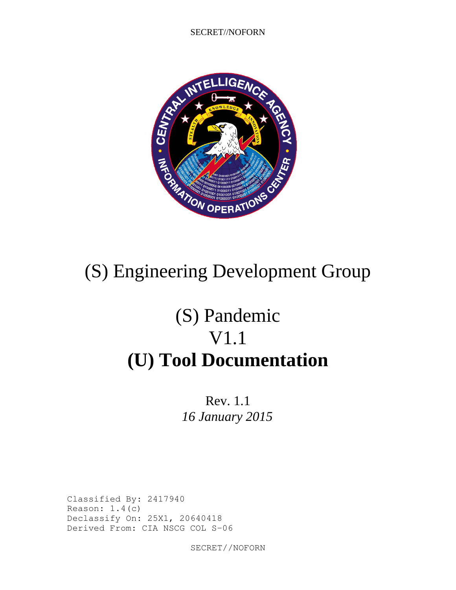SECRET//NOFORN



# (S) Pandemic V1.1 **(U) Tool Documentation**

Rev. 1.1 *16 January 2015*

Classified By: 2417940 Reason:  $1.4(c)$ Declassify On: 25X1, 20640418 Derived From: CIA NSCG COL S-06

SECRET//NOFORN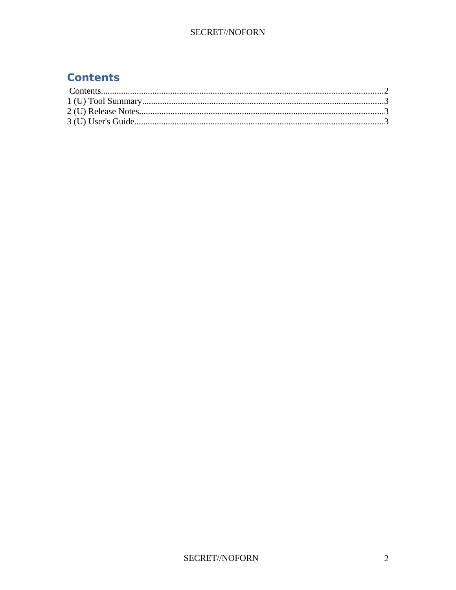#### **Contents**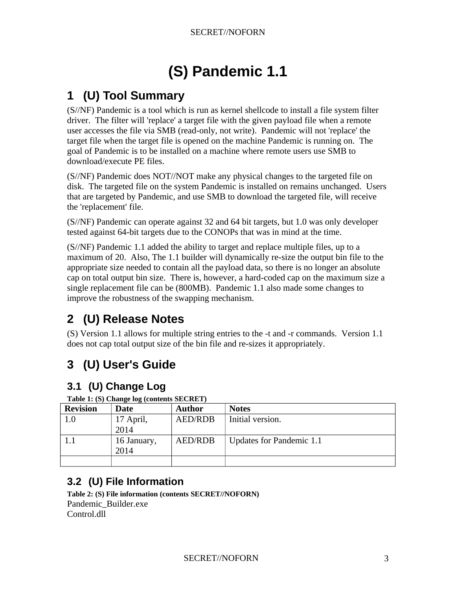# **(S) Pandemic 1.1**

### **1 (U) Tool Summary**

(S//NF) Pandemic is a tool which is run as kernel shellcode to install a file system filter driver. The filter will 'replace' a target file with the given payload file when a remote user accesses the file via SMB (read-only, not write). Pandemic will not 'replace' the target file when the target file is opened on the machine Pandemic is running on. The goal of Pandemic is to be installed on a machine where remote users use SMB to download/execute PE files.

(S//NF) Pandemic does NOT//NOT make any physical changes to the targeted file on disk. The targeted file on the system Pandemic is installed on remains unchanged. Users that are targeted by Pandemic, and use SMB to download the targeted file, will receive the 'replacement' file.

(S//NF) Pandemic can operate against 32 and 64 bit targets, but 1.0 was only developer tested against 64-bit targets due to the CONOPs that was in mind at the time.

(S//NF) Pandemic 1.1 added the ability to target and replace multiple files, up to a maximum of 20. Also, The 1.1 builder will dynamically re-size the output bin file to the appropriate size needed to contain all the payload data, so there is no longer an absolute cap on total output bin size. There is, however, a hard-coded cap on the maximum size a single replacement file can be (800MB). Pandemic 1.1 also made some changes to improve the robustness of the swapping mechanism.

### **2 (U) Release Notes**

(S) Version 1.1 allows for multiple string entries to the -t and -r commands. Version 1.1 does not cap total output size of the bin file and re-sizes it appropriately.

## **3 (U) User's Guide**

#### **3.1 (U) Change Log**

| <b>Revision</b> | Date                | <b>Author</b>  | <b>Notes</b>                    |
|-----------------|---------------------|----------------|---------------------------------|
| 1.0             | 17 April,           | <b>AED/RDB</b> | Initial version.                |
|                 | 2014                |                |                                 |
|                 | 16 January,<br>2014 | <b>AED/RDB</b> | <b>Updates for Pandemic 1.1</b> |
|                 |                     |                |                                 |

**Table 1: (S) Change log (contents SECRET)**

#### **3.2 (U) File Information**

**Table 2: (S) File information (contents SECRET//NOFORN)** Pandemic\_Builder.exe Control.dll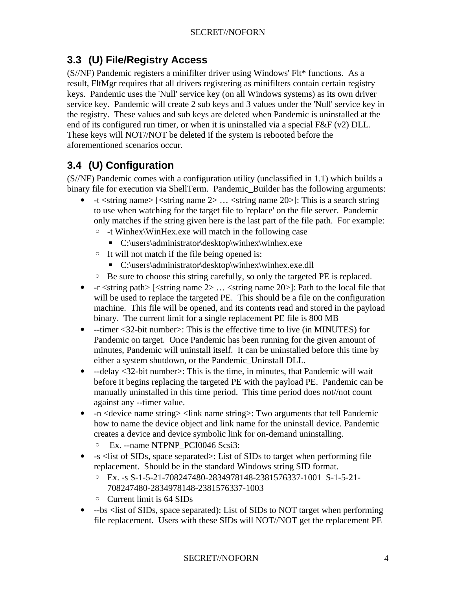#### **3.3 (U) File/Registry Access**

(S//NF) Pandemic registers a minifilter driver using Windows' Flt\* functions. As a result, FltMgr requires that all drivers registering as minifilters contain certain registry keys. Pandemic uses the 'Null' service key (on all Windows systems) as its own driver service key. Pandemic will create 2 sub keys and 3 values under the 'Null' service key in the registry. These values and sub keys are deleted when Pandemic is uninstalled at the end of its configured run timer, or when it is uninstalled via a special F&F (v2) DLL. These keys will NOT//NOT be deleted if the system is rebooted before the aforementioned scenarios occur.

#### **3.4 (U) Configuration**

(S//NF) Pandemic comes with a configuration utility (unclassified in 1.1) which builds a binary file for execution via ShellTerm. Pandemic Builder has the following arguments:

- $-t$  <string name>  $\lceil$  <string name 2>  $\ldots$  <string name 20>]: This is a search string to use when watching for the target file to 'replace' on the file server. Pandemic only matches if the string given here is the last part of the file path. For example:
	- -t Winhex\WinHex.exe will match in the following case
		- C:\users\administrator\desktop\winhex\winhex.exe
	- It will not match if the file being opened is:
		- C:\users\administrator\desktop\winhex\winhex.exe.dll
	- Be sure to choose this string carefully, so only the targeted PE is replaced.
- $-r \leq$ tring path>  $\leq$ tring name 2> ...  $\leq$ tring name 20> $\geq$ : Path to the local file that will be used to replace the targeted PE. This should be a file on the configuration machine. This file will be opened, and its contents read and stored in the payload binary. The current limit for a single replacement PE file is 800 MB
- --timer <32-bit number>: This is the effective time to live (in MINUTES) for Pandemic on target. Once Pandemic has been running for the given amount of minutes, Pandemic will uninstall itself. It can be uninstalled before this time by either a system shutdown, or the Pandemic\_Uninstall DLL.
- --delay <32-bit number>: This is the time, in minutes, that Pandemic will wait before it begins replacing the targeted PE with the payload PE. Pandemic can be manually uninstalled in this time period. This time period does not//not count against any --timer value.
- -n <device name string> <link name string>: Two arguments that tell Pandemic how to name the device object and link name for the uninstall device. Pandemic creates a device and device symbolic link for on-demand uninstalling.
	- Ex. --name NTPNP\_PCI0046 Scsi3:
- -s <list of SIDs, space separated>: List of SIDs to target when performing file replacement. Should be in the standard Windows string SID format.
	- Ex. -s S-1-5-21-708247480-2834978148-2381576337-1001 S-1-5-21- 708247480-2834978148-2381576337-1003
	- Current limit is 64 SIDs
- --bs <list of SIDs, space separated): List of SIDs to NOT target when performing file replacement. Users with these SIDs will NOT//NOT get the replacement PE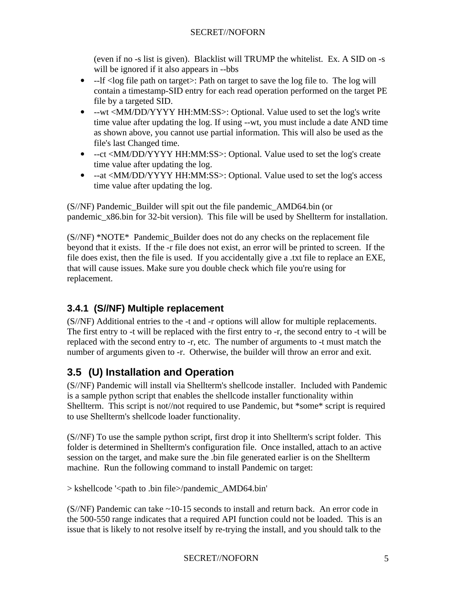(even if no -s list is given). Blacklist will TRUMP the whitelist. Ex. A SID on -s will be ignored if it also appears in --bbs

- --If <log file path on target>: Path on target to save the log file to. The log will contain a timestamp-SID entry for each read operation performed on the target PE file by a targeted SID.
- --wt <MM/DD/YYYY HH:MM:SS>: Optional. Value used to set the log's write time value after updating the log. If using --wt, you must include a date AND time as shown above, you cannot use partial information. This will also be used as the file's last Changed time.
- --ct <MM/DD/YYYY HH:MM:SS>: Optional. Value used to set the log's create time value after updating the log.
- --at <MM/DD/YYYY HH:MM:SS>: Optional. Value used to set the log's access time value after updating the log.

(S//NF) Pandemic\_Builder will spit out the file pandemic\_AMD64.bin (or pandemic\_x86.bin for 32-bit version). This file will be used by Shellterm for installation.

 $(S/NF)$  \*NOTE\* Pandemic Builder does not do any checks on the replacement file beyond that it exists. If the -r file does not exist, an error will be printed to screen. If the file does exist, then the file is used. If you accidentally give a .txt file to replace an EXE, that will cause issues. Make sure you double check which file you're using for replacement.

#### **3.4.1 (S//NF) Multiple replacement**

(S//NF) Additional entries to the -t and -r options will allow for multiple replacements. The first entry to -t will be replaced with the first entry to -r, the second entry to -t will be replaced with the second entry to -r, etc. The number of arguments to -t must match the number of arguments given to -r. Otherwise, the builder will throw an error and exit.

#### **3.5 (U) Installation and Operation**

(S//NF) Pandemic will install via Shellterm's shellcode installer. Included with Pandemic is a sample python script that enables the shellcode installer functionality within Shellterm. This script is not//not required to use Pandemic, but \*some\* script is required to use Shellterm's shellcode loader functionality.

(S//NF) To use the sample python script, first drop it into Shellterm's script folder. This folder is determined in Shellterm's configuration file. Once installed, attach to an active session on the target, and make sure the .bin file generated earlier is on the Shellterm machine. Run the following command to install Pandemic on target:

> kshellcode '<path to .bin file>/pandemic\_AMD64.bin'

 $(S/NF)$  Pandemic can take  $\sim$ 10-15 seconds to install and return back. An error code in the 500-550 range indicates that a required API function could not be loaded. This is an issue that is likely to not resolve itself by re-trying the install, and you should talk to the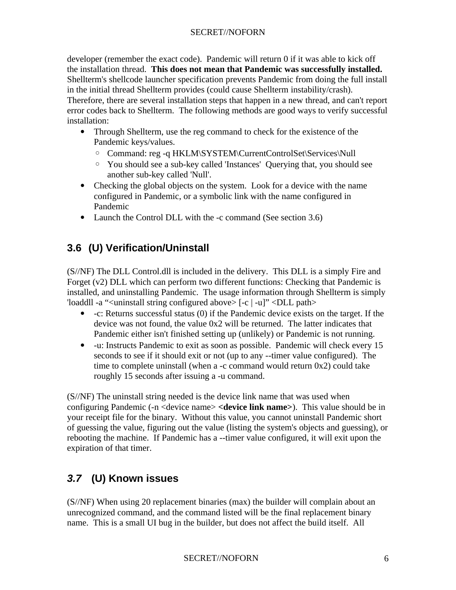#### SECRET//NOFORN

developer (remember the exact code). Pandemic will return 0 if it was able to kick off the installation thread. **This does not mean that Pandemic was successfully installed.** Shellterm's shellcode launcher specification prevents Pandemic from doing the full install in the initial thread Shellterm provides (could cause Shellterm instability/crash). Therefore, there are several installation steps that happen in a new thread, and can't report error codes back to Shellterm. The following methods are good ways to verify successful installation:

- Through Shellterm, use the reg command to check for the existence of the Pandemic keys/values.
	- Command: reg -q HKLM\SYSTEM\CurrentControlSet\Services\Null
	- You should see a sub-key called 'Instances' Querying that, you should see another sub-key called 'Null'.
- Checking the global objects on the system. Look for a device with the name configured in Pandemic, or a symbolic link with the name configured in Pandemic
- Launch the Control DLL with the -c command (See section 3.6)

#### **3.6 (U) Verification/Uninstall**

(S//NF) The DLL Control.dll is included in the delivery. This DLL is a simply Fire and Forget (v2) DLL which can perform two different functions: Checking that Pandemic is installed, and uninstalling Pandemic. The usage information through Shellterm is simply 'loaddll -a "<uninstall string configured above> [-c | -u]" <DLL path>

- -c: Returns successful status (0) if the Pandemic device exists on the target. If the device was not found, the value 0x2 will be returned. The latter indicates that Pandemic either isn't finished setting up (unlikely) or Pandemic is not running.
- -u: Instructs Pandemic to exit as soon as possible. Pandemic will check every 15 seconds to see if it should exit or not (up to any --timer value configured). The time to complete uninstall (when a -c command would return 0x2) could take roughly 15 seconds after issuing a -u command.

(S//NF) The uninstall string needed is the device link name that was used when configuring Pandemic (-n <device name> **<device link name>**). This value should be in your receipt file for the binary. Without this value, you cannot uninstall Pandemic short of guessing the value, figuring out the value (listing the system's objects and guessing), or rebooting the machine. If Pandemic has a --timer value configured, it will exit upon the expiration of that timer.

#### *3.7* **(U) Known issues**

(S//NF) When using 20 replacement binaries (max) the builder will complain about an unrecognized command, and the command listed will be the final replacement binary name. This is a small UI bug in the builder, but does not affect the build itself. All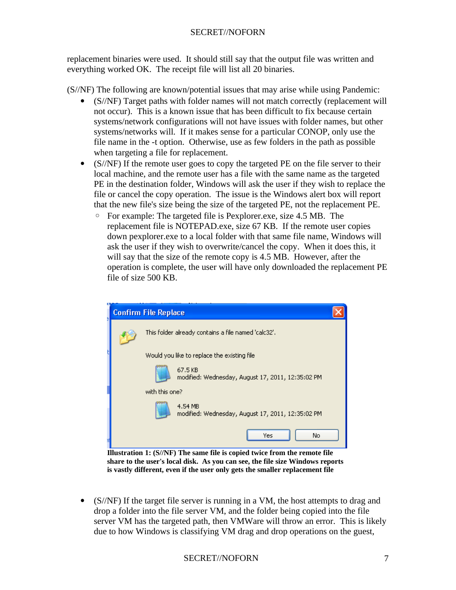replacement binaries were used. It should still say that the output file was written and everything worked OK. The receipt file will list all 20 binaries.

(S//NF) The following are known/potential issues that may arise while using Pandemic:

- (S//NF) Target paths with folder names will not match correctly (replacement will not occur). This is a known issue that has been difficult to fix because certain systems/network configurations will not have issues with folder names, but other systems/networks will. If it makes sense for a particular CONOP, only use the file name in the -t option. Otherwise, use as few folders in the path as possible when targeting a file for replacement.
- (S//NF) If the remote user goes to copy the targeted PE on the file server to their local machine, and the remote user has a file with the same name as the targeted PE in the destination folder, Windows will ask the user if they wish to replace the file or cancel the copy operation. The issue is the Windows alert box will report that the new file's size being the size of the targeted PE, not the replacement PE.
	- For example: The targeted file is Pexplorer.exe, size 4.5 MB. The replacement file is NOTEPAD.exe, size 67 KB. If the remote user copies down pexplorer.exe to a local folder with that same file name, Windows will ask the user if they wish to overwrite/cancel the copy. When it does this, it will say that the size of the remote copy is 4.5 MB. However, after the operation is complete, the user will have only downloaded the replacement PE file of size 500 KB.



**Illustration 1: (S//NF) The same file is copied twice from the remote file share to the user's local disk. As you can see, the file size Windows reports is vastly different, even if the user only gets the smaller replacement file**

• (S//NF) If the target file server is running in a VM, the host attempts to drag and drop a folder into the file server VM, and the folder being copied into the file server VM has the targeted path, then VMWare will throw an error. This is likely due to how Windows is classifying VM drag and drop operations on the guest,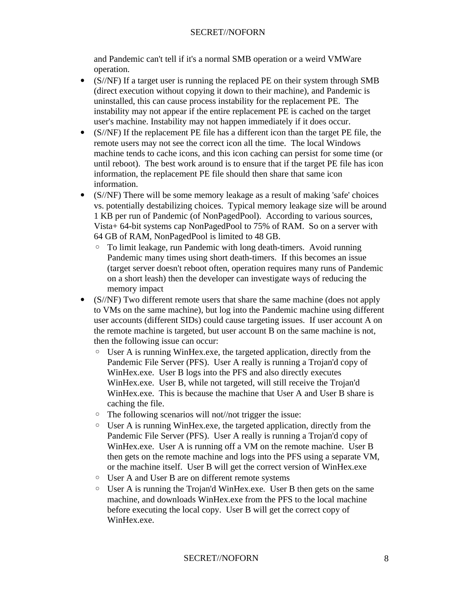and Pandemic can't tell if it's a normal SMB operation or a weird VMWare operation.

- (S//NF) If a target user is running the replaced PE on their system through SMB (direct execution without copying it down to their machine), and Pandemic is uninstalled, this can cause process instability for the replacement PE. The instability may not appear if the entire replacement PE is cached on the target user's machine. Instability may not happen immediately if it does occur.
- (S//NF) If the replacement PE file has a different icon than the target PE file, the remote users may not see the correct icon all the time. The local Windows machine tends to cache icons, and this icon caching can persist for some time (or until reboot). The best work around is to ensure that if the target PE file has icon information, the replacement PE file should then share that same icon information.
- (S//NF) There will be some memory leakage as a result of making 'safe' choices vs. potentially destabilizing choices. Typical memory leakage size will be around 1 KB per run of Pandemic (of NonPagedPool). According to various sources, Vista+ 64-bit systems cap NonPagedPool to 75% of RAM. So on a server with 64 GB of RAM, NonPagedPool is limited to 48 GB.
	- To limit leakage, run Pandemic with long death-timers. Avoid running Pandemic many times using short death-timers. If this becomes an issue (target server doesn't reboot often, operation requires many runs of Pandemic on a short leash) then the developer can investigate ways of reducing the memory impact
- (S//NF) Two different remote users that share the same machine (does not apply to VMs on the same machine), but log into the Pandemic machine using different user accounts (different SIDs) could cause targeting issues. If user account A on the remote machine is targeted, but user account B on the same machine is not, then the following issue can occur:
	- User A is running WinHex.exe, the targeted application, directly from the Pandemic File Server (PFS). User A really is running a Trojan'd copy of WinHex.exe. User B logs into the PFS and also directly executes WinHex.exe. User B, while not targeted, will still receive the Trojan'd WinHex.exe. This is because the machine that User A and User B share is caching the file.
	- The following scenarios will not//not trigger the issue:
	- User A is running WinHex.exe, the targeted application, directly from the Pandemic File Server (PFS). User A really is running a Trojan'd copy of WinHex.exe. User A is running off a VM on the remote machine. User B then gets on the remote machine and logs into the PFS using a separate VM, or the machine itself. User B will get the correct version of WinHex.exe
	- User A and User B are on different remote systems
	- User A is running the Trojan'd WinHex.exe. User B then gets on the same machine, and downloads WinHex.exe from the PFS to the local machine before executing the local copy. User B will get the correct copy of WinHex.exe.